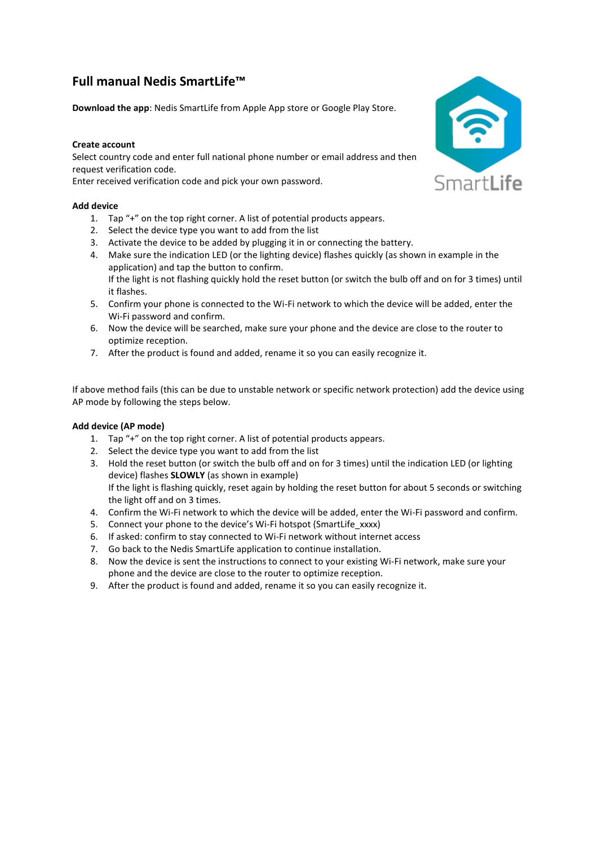# **Full manual Nedis SmartLife™**

**Download the app**: Nedis SmartLife from Apple App store or Google Play Store.

# **Create account**

Select country code and enter full national phone number or email address and then request verification code.

Enter received verification code and pick your own password.

### **Add device**

- 1. Tap "+" on the top right corner. A list of potential products appears.
- 2. Select the device type you want to add from the list
- 3. Activate the device to be added by plugging it in or connecting the battery.
- 4. Make sure the indication LED (or the lighting device) flashes quickly (as shown in example in the application) and tap the button to confirm. If the light is not flashing quickly hold the reset button (or switch the bulb off and on for 3 times) until
- it flashes.
- 5. Confirm your phone is connected to the Wi-Fi network to which the device will be added, enter the Wi-Fi password and confirm.
- 6. Now the device will be searched, make sure your phone and the device are close to the router to optimize reception.
- 7. After the product is found and added, rename it so you can easily recognize it.

If above method fails (this can be due to unstable network or specific network protection) add the device using AP mode by following the steps below.

### **Add device (AP mode)**

- 1. Tap "+" on the top right corner. A list of potential products appears.
- 2. Select the device type you want to add from the list
- 3. Hold the reset button (or switch the bulb off and on for 3 times) until the indication LED (or lighting device) flashes **SLOWLY** (as shown in example) If the light is flashing quickly, reset again by holding the reset button for about 5 seconds or switching the light off and on 3 times.
- 4. Confirm the Wi-Fi network to which the device will be added, enter the Wi-Fi password and confirm.
- 5. Connect your phone to the device's Wi-Fi hotspot (SmartLife\_xxxx)
- 6. If asked: confirm to stay connected to Wi-Fi network without internet access
- 7. Go back to the Nedis SmartLife application to continue installation.
- 8. Now the device is sent the instructions to connect to your existing Wi-Fi network, make sure your phone and the device are close to the router to optimize reception.
- 9. After the product is found and added, rename it so you can easily recognize it.

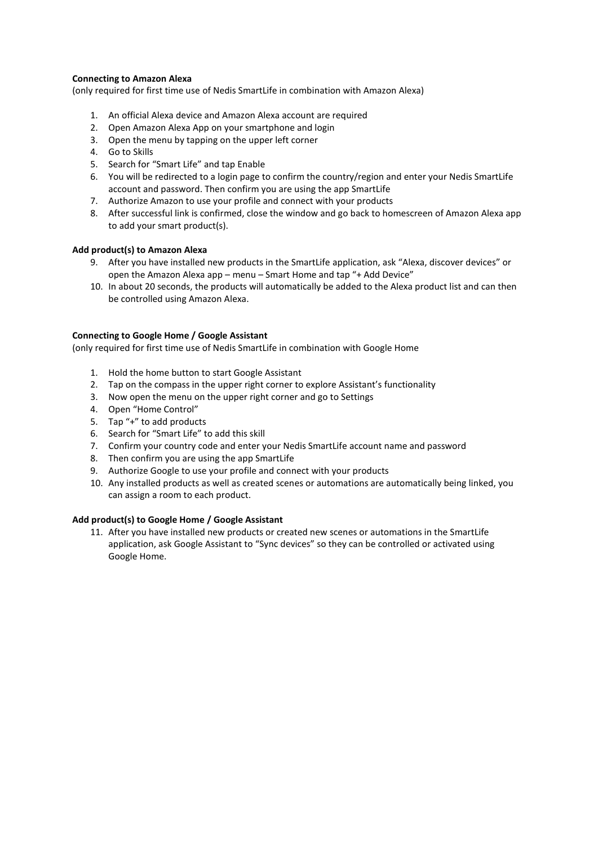### **Connecting to Amazon Alexa**

(only required for first time use of Nedis SmartLife in combination with Amazon Alexa)

- 1. An official Alexa device and Amazon Alexa account are required
- 2. Open Amazon Alexa App on your smartphone and login
- 3. Open the menu by tapping on the upper left corner
- 4. Go to Skills
- 5. Search for "Smart Life" and tap Enable
- 6. You will be redirected to a login page to confirm the country/region and enter your Nedis SmartLife account and password. Then confirm you are using the app SmartLife
- 7. Authorize Amazon to use your profile and connect with your products
- 8. After successful link is confirmed, close the window and go back to homescreen of Amazon Alexa app to add your smart product(s).

### **Add product(s) to Amazon Alexa**

- 9. After you have installed new products in the SmartLife application, ask "Alexa, discover devices" or open the Amazon Alexa app – menu – Smart Home and tap "+ Add Device"
- 10. In about 20 seconds, the products will automatically be added to the Alexa product list and can then be controlled using Amazon Alexa.

### **Connecting to Google Home / Google Assistant**

(only required for first time use of Nedis SmartLife in combination with Google Home

- 1. Hold the home button to start Google Assistant
- 2. Tap on the compass in the upper right corner to explore Assistant's functionality
- 3. Now open the menu on the upper right corner and go to Settings
- 4. Open "Home Control"
- 5. Tap "+" to add products
- 6. Search for "Smart Life" to add this skill
- 7. Confirm your country code and enter your Nedis SmartLife account name and password
- 8. Then confirm you are using the app SmartLife
- 9. Authorize Google to use your profile and connect with your products
- 10. Any installed products as well as created scenes or automations are automatically being linked, you can assign a room to each product.

### **Add product(s) to Google Home / Google Assistant**

11. After you have installed new products or created new scenes or automations in the SmartLife application, ask Google Assistant to "Sync devices" so they can be controlled or activated using Google Home.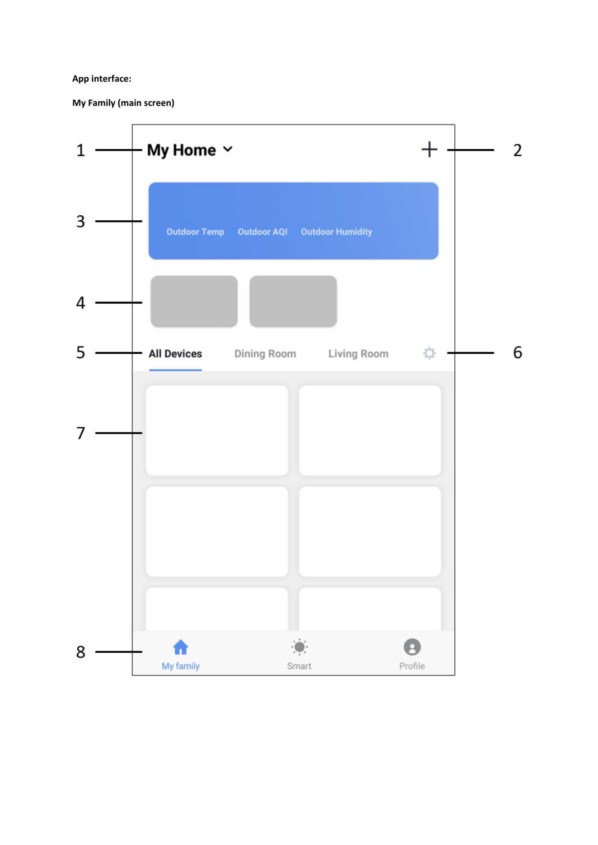# **App interface:**

**My Family (main screen)**

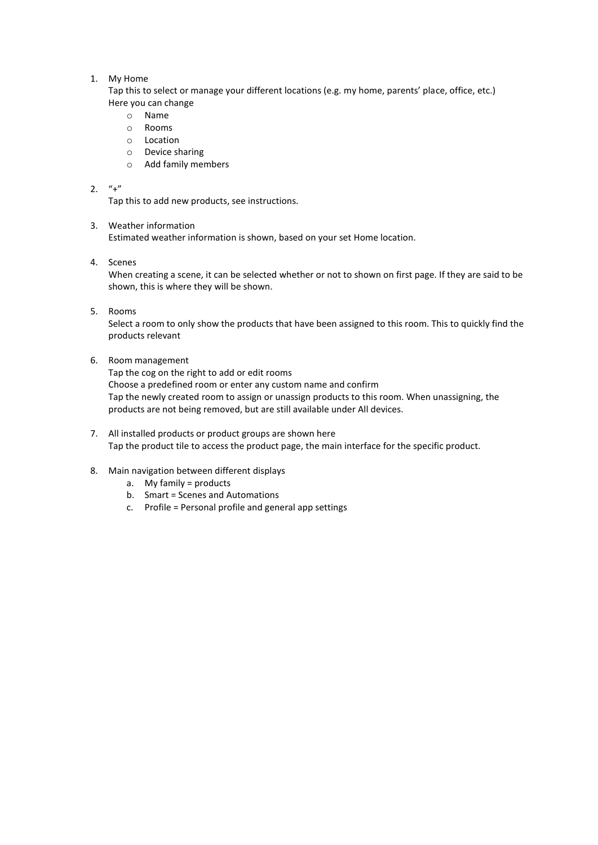### 1. My Home

Tap this to select or manage your different locations (e.g. my home, parents' place, office, etc.) Here you can change

- o Name
- o Rooms
- o Location
- o Device sharing
- o Add family members

# 2.  $"+'"$

Tap this to add new products, see instructions.

# 3. Weather information

Estimated weather information is shown, based on your set Home location.

4. Scenes

When creating a scene, it can be selected whether or not to shown on first page. If they are said to be shown, this is where they will be shown.

5. Rooms

Select a room to only show the products that have been assigned to this room. This to quickly find the products relevant

6. Room management

Tap the cog on the right to add or edit rooms Choose a predefined room or enter any custom name and confirm Tap the newly created room to assign or unassign products to this room. When unassigning, the products are not being removed, but are still available under All devices.

- 7. All installed products or product groups are shown here Tap the product tile to access the product page, the main interface for the specific product.
- 8. Main navigation between different displays
	- a. My family = products
	- b. Smart = Scenes and Automations
	- c. Profile = Personal profile and general app settings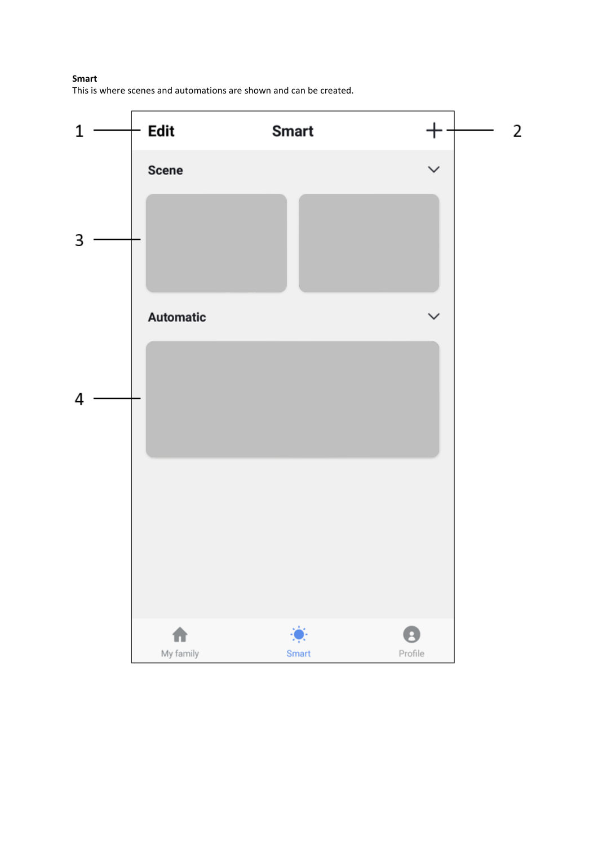# **Smart**

This is where scenes and automations are shown and can be created.

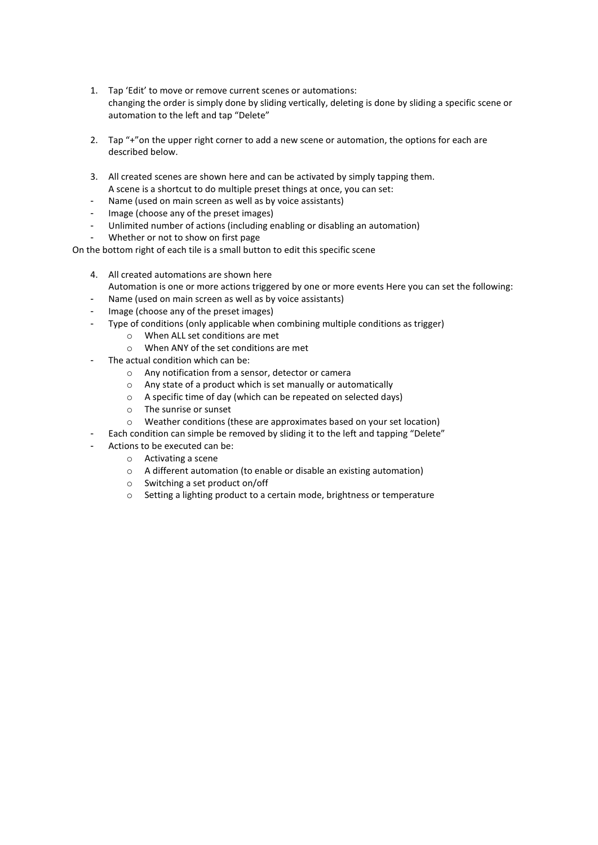- 1. Tap 'Edit' to move or remove current scenes or automations: changing the order is simply done by sliding vertically, deleting is done by sliding a specific scene or automation to the left and tap "Delete"
- 2. Tap  $4$  "on the upper right corner to add a new scene or automation, the options for each are described below.
- 3. All created scenes are shown here and can be activated by simply tapping them. A scene is a shortcut to do multiple preset things at once, you can set:
- Name (used on main screen as well as by voice assistants)
- Image (choose any of the preset images)
- Unlimited number of actions (including enabling or disabling an automation)
- Whether or not to show on first page

On the bottom right of each tile is a small button to edit this specific scene

- 4. All created automations are shown here
	- Automation is one or more actions triggered by one or more events Here you can set the following:
- Name (used on main screen as well as by voice assistants)
- Image (choose any of the preset images)
- Type of conditions (only applicable when combining multiple conditions as trigger)
	- o When ALL set conditions are met
	- o When ANY of the set conditions are met
- The actual condition which can be:
	- o Any notification from a sensor, detector or camera
	- o Any state of a product which is set manually or automatically
	- o A specific time of day (which can be repeated on selected days)
	- o The sunrise or sunset
	- o Weather conditions (these are approximates based on your set location)
	- Each condition can simple be removed by sliding it to the left and tapping "Delete"
- Actions to be executed can be:
	- o Activating a scene
	- o A different automation (to enable or disable an existing automation)
	- o Switching a set product on/off
	- o Setting a lighting product to a certain mode, brightness or temperature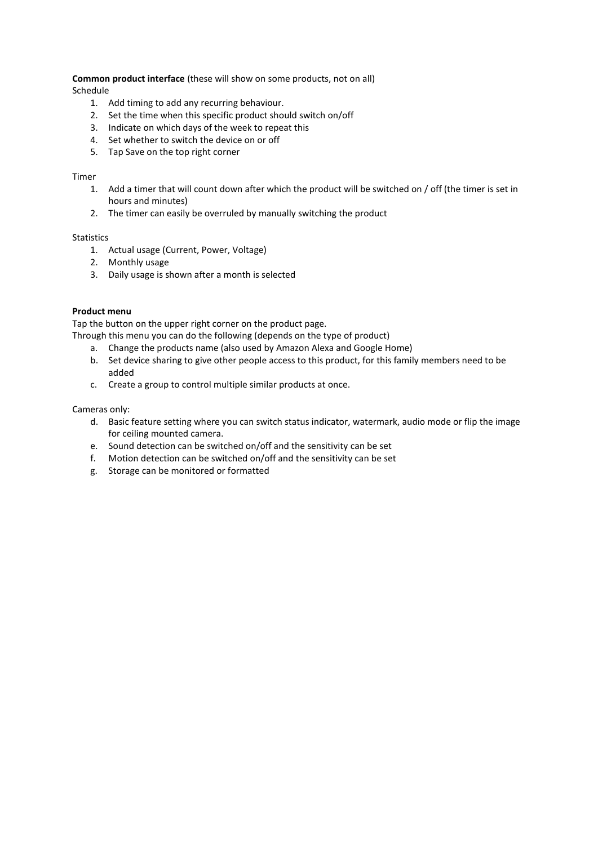**Common product interface** (these will show on some products, not on all) Schedule

- 1. Add timing to add any recurring behaviour.
- 2. Set the time when this specific product should switch on/off
- 3. Indicate on which days of the week to repeat this
- 4. Set whether to switch the device on or off
- 5. Tap Save on the top right corner

### Timer

- 1. Add a timer that will count down after which the product will be switched on / off (the timer is set in hours and minutes)
- 2. The timer can easily be overruled by manually switching the product

# Statistics

- 1. Actual usage (Current, Power, Voltage)
- 2. Monthly usage
- 3. Daily usage is shown after a month is selected

### **Product menu**

Tap the button on the upper right corner on the product page.

- Through this menu you can do the following (depends on the type of product)
	- a. Change the products name (also used by Amazon Alexa and Google Home)
	- b. Set device sharing to give other people access to this product, for this family members need to be added
	- c. Create a group to control multiple similar products at once.

#### Cameras only:

- d. Basic feature setting where you can switch status indicator, watermark, audio mode or flip the image for ceiling mounted camera.
- e. Sound detection can be switched on/off and the sensitivity can be set
- f. Motion detection can be switched on/off and the sensitivity can be set
- g. Storage can be monitored or formatted